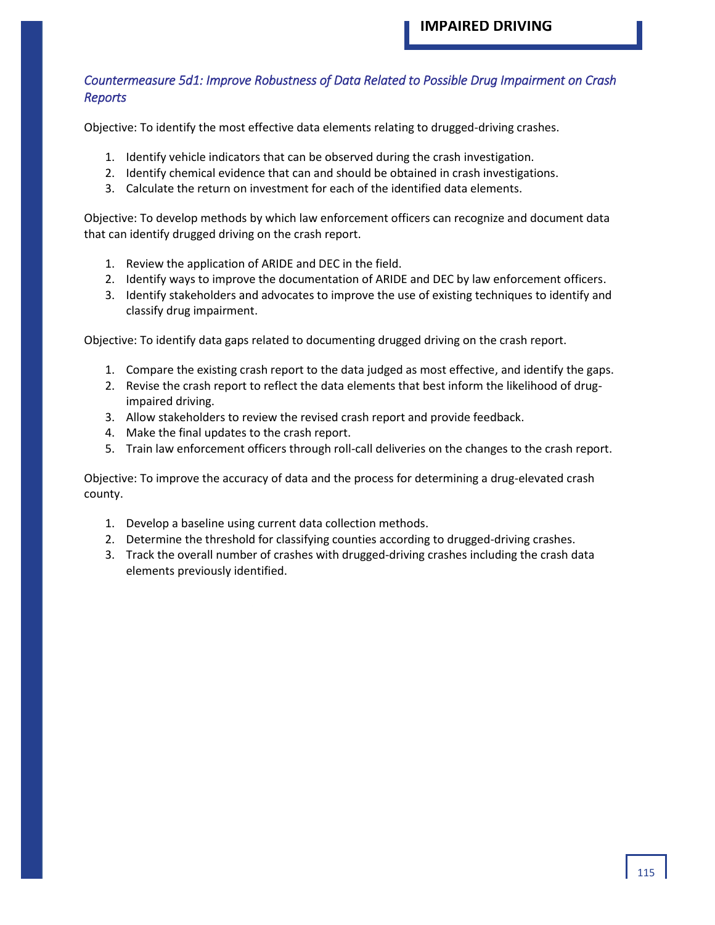#### *Countermeasure 5d1: Improve Robustness of Data Related to Possible Drug Impairment on Crash Reports*

Objective: To identify the most effective data elements relating to drugged-driving crashes.

- 1. Identify vehicle indicators that can be observed during the crash investigation.
- 2. Identify chemical evidence that can and should be obtained in crash investigations.
- 3. Calculate the return on investment for each of the identified data elements.

Objective: To develop methods by which law enforcement officers can recognize and document data that can identify drugged driving on the crash report.

- 1. Review the application of ARIDE and DEC in the field.
- 2. Identify ways to improve the documentation of ARIDE and DEC by law enforcement officers.
- 3. Identify stakeholders and advocates to improve the use of existing techniques to identify and classify drug impairment.

Objective: To identify data gaps related to documenting drugged driving on the crash report.

- 1. Compare the existing crash report to the data judged as most effective, and identify the gaps.
- 2. Revise the crash report to reflect the data elements that best inform the likelihood of drugimpaired driving.
- 3. Allow stakeholders to review the revised crash report and provide feedback.
- 4. Make the final updates to the crash report.
- 5. Train law enforcement officers through roll-call deliveries on the changes to the crash report.

Objective: To improve the accuracy of data and the process for determining a drug-elevated crash county.

- 1. Develop a baseline using current data collection methods.
- 2. Determine the threshold for classifying counties according to drugged-driving crashes.
- 3. Track the overall number of crashes with drugged-driving crashes including the crash data elements previously identified.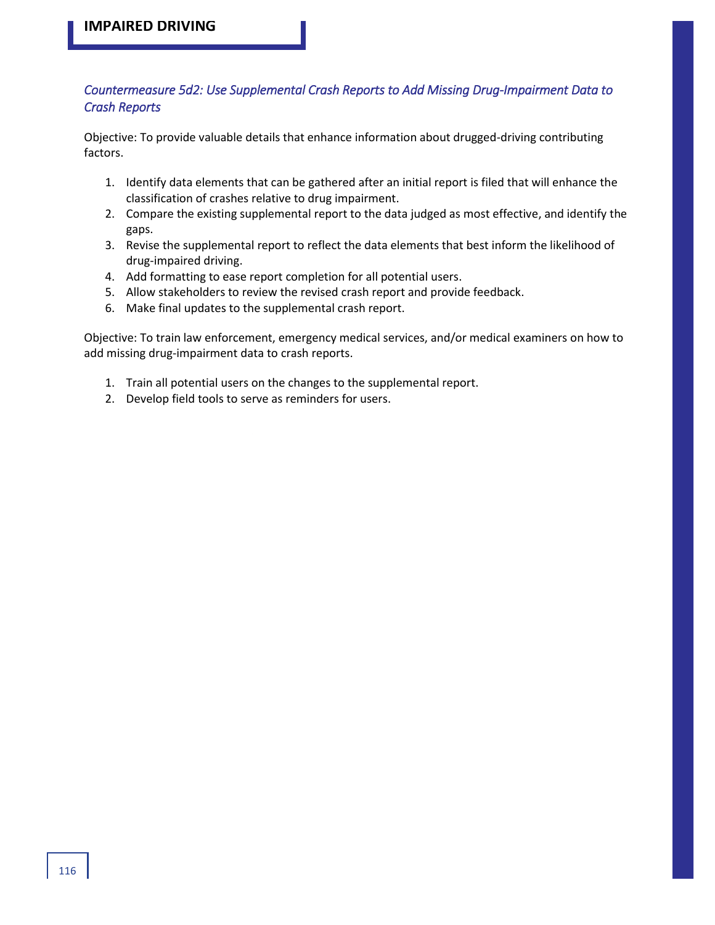### *Countermeasure 5d2: Use Supplemental Crash Reports to Add Missing Drug-Impairment Data to Crash Reports*

Objective: To provide valuable details that enhance information about drugged-driving contributing factors.

- 1. Identify data elements that can be gathered after an initial report is filed that will enhance the classification of crashes relative to drug impairment.
- 2. Compare the existing supplemental report to the data judged as most effective, and identify the gaps.
- 3. Revise the supplemental report to reflect the data elements that best inform the likelihood of drug-impaired driving.
- 4. Add formatting to ease report completion for all potential users.
- 5. Allow stakeholders to review the revised crash report and provide feedback.
- 6. Make final updates to the supplemental crash report.

Objective: To train law enforcement, emergency medical services, and/or medical examiners on how to add missing drug-impairment data to crash reports.

- 1. Train all potential users on the changes to the supplemental report.
- 2. Develop field tools to serve as reminders for users.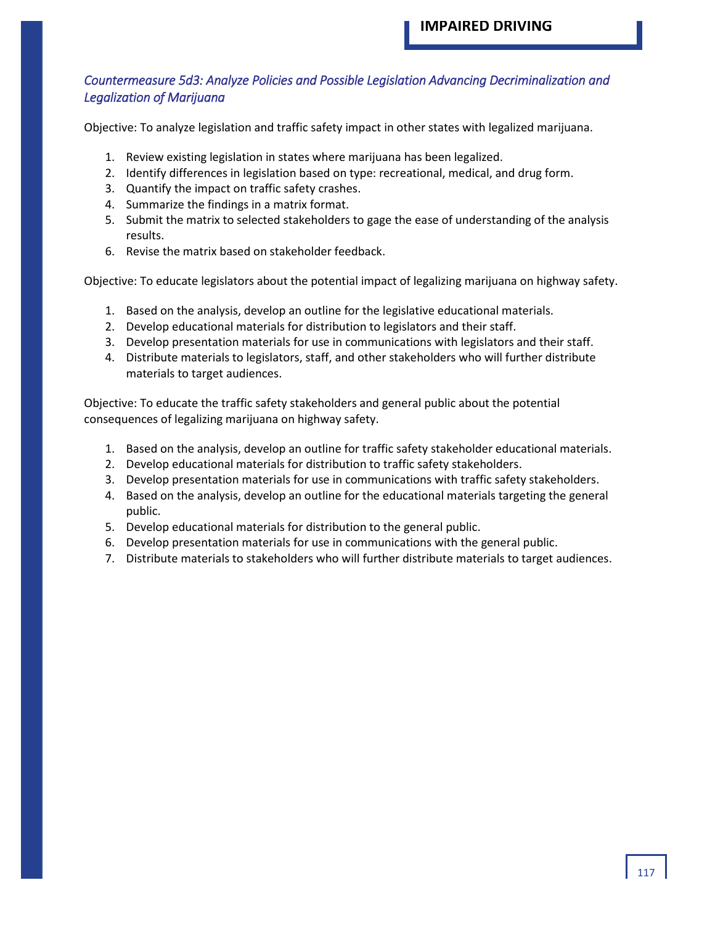### *Countermeasure 5d3: Analyze Policies and Possible Legislation Advancing Decriminalization and Legalization of Marijuana*

Objective: To analyze legislation and traffic safety impact in other states with legalized marijuana.

- 1. Review existing legislation in states where marijuana has been legalized.
- 2. Identify differences in legislation based on type: recreational, medical, and drug form.
- 3. Quantify the impact on traffic safety crashes.
- 4. Summarize the findings in a matrix format.
- 5. Submit the matrix to selected stakeholders to gage the ease of understanding of the analysis results.
- 6. Revise the matrix based on stakeholder feedback.

Objective: To educate legislators about the potential impact of legalizing marijuana on highway safety.

- 1. Based on the analysis, develop an outline for the legislative educational materials.
- 2. Develop educational materials for distribution to legislators and their staff.
- 3. Develop presentation materials for use in communications with legislators and their staff.
- 4. Distribute materials to legislators, staff, and other stakeholders who will further distribute materials to target audiences.

Objective: To educate the traffic safety stakeholders and general public about the potential consequences of legalizing marijuana on highway safety.

- 1. Based on the analysis, develop an outline for traffic safety stakeholder educational materials.
- 2. Develop educational materials for distribution to traffic safety stakeholders.
- 3. Develop presentation materials for use in communications with traffic safety stakeholders.
- 4. Based on the analysis, develop an outline for the educational materials targeting the general public.
- 5. Develop educational materials for distribution to the general public.
- 6. Develop presentation materials for use in communications with the general public.
- 7. Distribute materials to stakeholders who will further distribute materials to target audiences.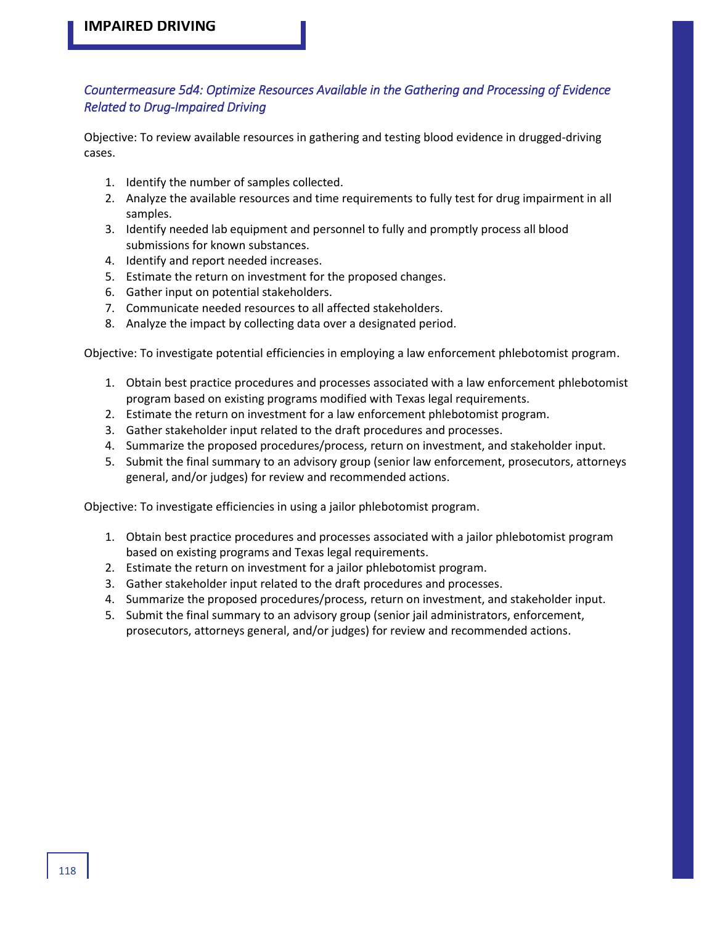### *Countermeasure 5d4: Optimize Resources Available in the Gathering and Processing of Evidence Related to Drug-Impaired Driving*

Objective: To review available resources in gathering and testing blood evidence in drugged-driving cases.

- 1. Identify the number of samples collected.
- 2. Analyze the available resources and time requirements to fully test for drug impairment in all samples.
- 3. Identify needed lab equipment and personnel to fully and promptly process all blood submissions for known substances.
- 4. Identify and report needed increases.
- 5. Estimate the return on investment for the proposed changes.
- 6. Gather input on potential stakeholders.
- 7. Communicate needed resources to all affected stakeholders.
- 8. Analyze the impact by collecting data over a designated period.

Objective: To investigate potential efficiencies in employing a law enforcement phlebotomist program.

- 1. Obtain best practice procedures and processes associated with a law enforcement phlebotomist program based on existing programs modified with Texas legal requirements.
- 2. Estimate the return on investment for a law enforcement phlebotomist program.
- 3. Gather stakeholder input related to the draft procedures and processes.
- 4. Summarize the proposed procedures/process, return on investment, and stakeholder input.
- 5. Submit the final summary to an advisory group (senior law enforcement, prosecutors, attorneys general, and/or judges) for review and recommended actions.

Objective: To investigate efficiencies in using a jailor phlebotomist program.

- 1. Obtain best practice procedures and processes associated with a jailor phlebotomist program based on existing programs and Texas legal requirements.
- 2. Estimate the return on investment for a jailor phlebotomist program.
- 3. Gather stakeholder input related to the draft procedures and processes.
- 4. Summarize the proposed procedures/process, return on investment, and stakeholder input.
- 5. Submit the final summary to an advisory group (senior jail administrators, enforcement, prosecutors, attorneys general, and/or judges) for review and recommended actions.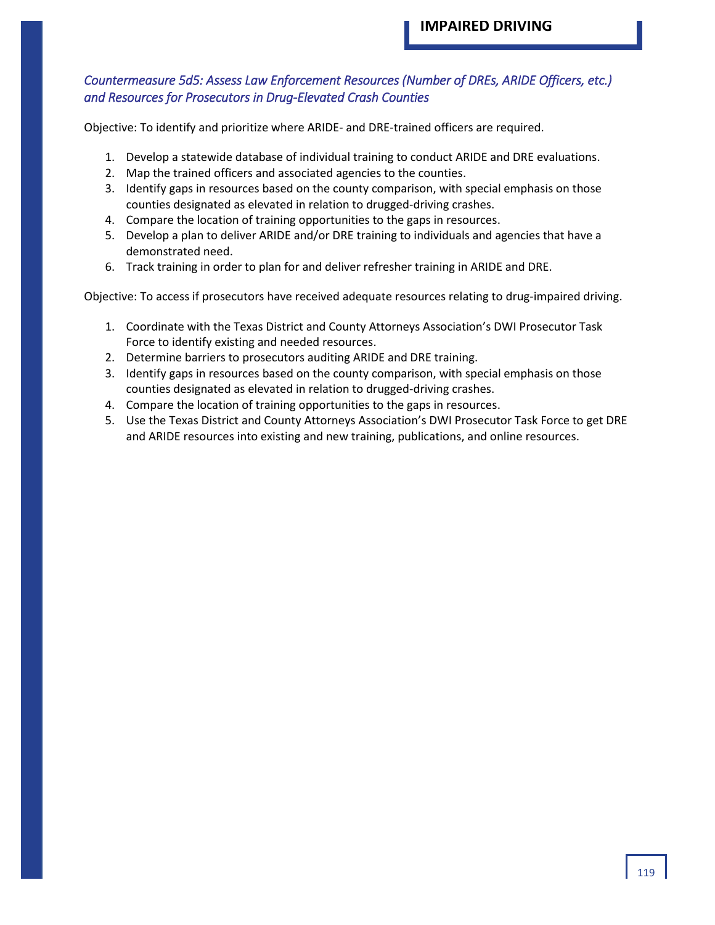### *Countermeasure 5d5: Assess Law Enforcement Resources (Number of DREs, ARIDE Officers, etc.) and Resources for Prosecutors in Drug-Elevated Crash Counties*

Objective: To identify and prioritize where ARIDE- and DRE-trained officers are required.

- 1. Develop a statewide database of individual training to conduct ARIDE and DRE evaluations.
- 2. Map the trained officers and associated agencies to the counties.
- 3. Identify gaps in resources based on the county comparison, with special emphasis on those counties designated as elevated in relation to drugged-driving crashes.
- 4. Compare the location of training opportunities to the gaps in resources.
- 5. Develop a plan to deliver ARIDE and/or DRE training to individuals and agencies that have a demonstrated need.
- 6. Track training in order to plan for and deliver refresher training in ARIDE and DRE.

Objective: To access if prosecutors have received adequate resources relating to drug-impaired driving.

- 1. Coordinate with the Texas District and County Attorneys Association's DWI Prosecutor Task Force to identify existing and needed resources.
- 2. Determine barriers to prosecutors auditing ARIDE and DRE training.
- 3. Identify gaps in resources based on the county comparison, with special emphasis on those counties designated as elevated in relation to drugged-driving crashes.
- 4. Compare the location of training opportunities to the gaps in resources.
- 5. Use the Texas District and County Attorneys Association's DWI Prosecutor Task Force to get DRE and ARIDE resources into existing and new training, publications, and online resources.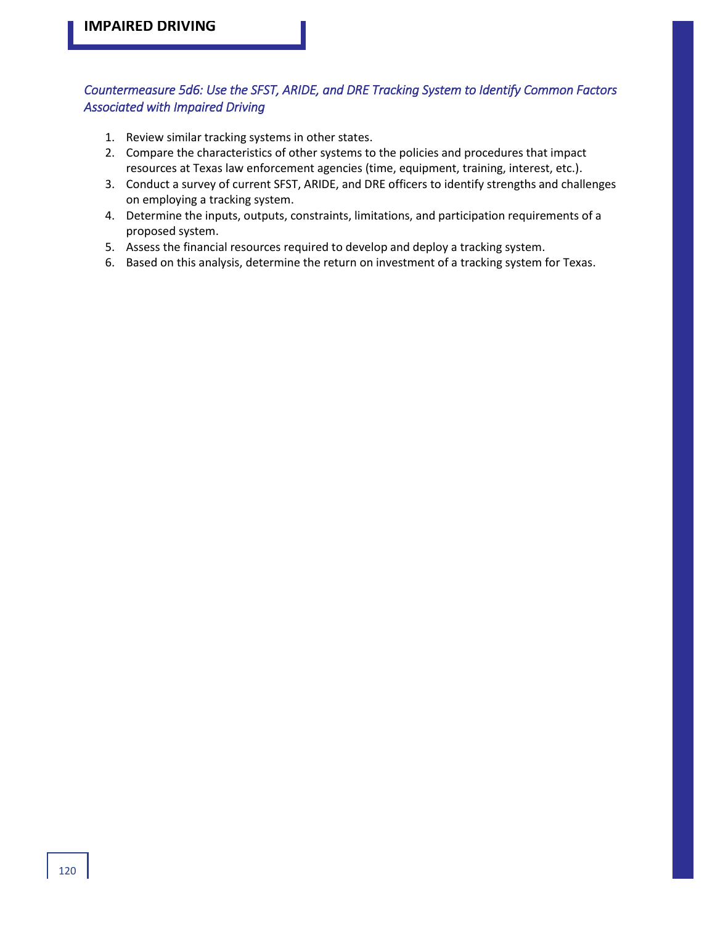## *Countermeasure 5d6: Use the SFST, ARIDE, and DRE Tracking System to Identify Common Factors Associated with Impaired Driving*

- 1. Review similar tracking systems in other states.
- 2. Compare the characteristics of other systems to the policies and procedures that impact resources at Texas law enforcement agencies (time, equipment, training, interest, etc.).
- 3. Conduct a survey of current SFST, ARIDE, and DRE officers to identify strengths and challenges on employing a tracking system.
- 4. Determine the inputs, outputs, constraints, limitations, and participation requirements of a proposed system.
- 5. Assess the financial resources required to develop and deploy a tracking system.
- 6. Based on this analysis, determine the return on investment of a tracking system for Texas.